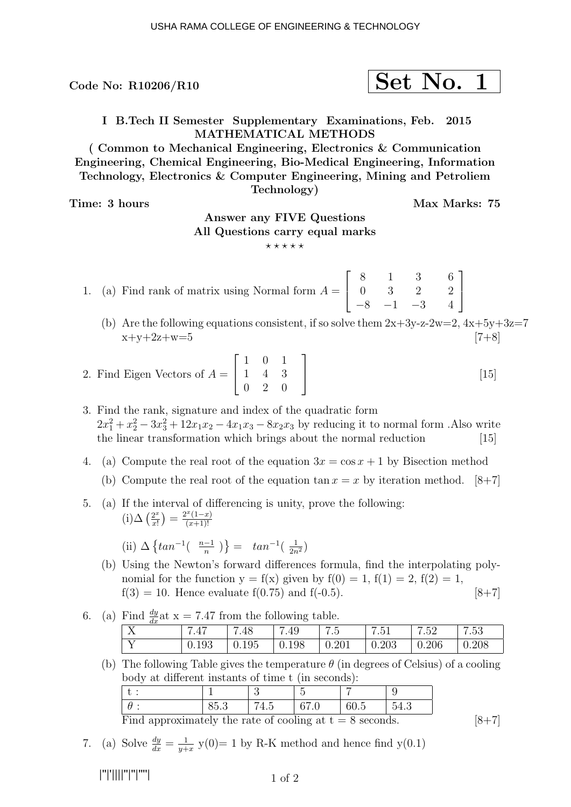Code No:  $R10206/R10$ 

$$
\fbox{Set No. 1}
$$

I B.Tech II Semester Supplementary Examinations, Feb. 2015 MATHEMATICAL METHODS

( Common to Mechanical Engineering, Electronics & Communication Engineering, Chemical Engineering, Bio-Medical Engineering, Information Technology, Electronics & Computer Engineering, Mining and Petroliem Technology)

Time: 3 hours Max Marks: 75

1

 $\overline{1}$ 

## Answer any FIVE Questions All Questions carry equal marks

 $***$ \*\*

- 1. (a) Find rank of matrix using Normal form  $A =$  $\sqrt{ }$  $\overline{\phantom{a}}$ 8 1 3 0 3 2  $-8$   $-1$   $-3$ 6 2 4
	- (b) Are the following equations consistent, if so solve them  $2x+3y-z-2w=2$ ,  $4x+5y+3z=7$  $x+y+2z+w=5$  [7+8]
- 2. Find Eigen Vectors of  $A =$  $\sqrt{ }$  $\overline{\phantom{a}}$ 1 0 1 1 4 3 0 2 0 1 [15]

3. Find the rank, signature and index of the quadratic form  $2x_1^2 + x_2^2 - 3x_3^2 + 12x_1x_2 - 4x_1x_3 - 8x_2x_3$  by reducing it to normal form . Also write the linear transformation which brings about the normal reduction [15]

- 4. (a) Compute the real root of the equation  $3x = \cos x + 1$  by Bisection method
	- (b) Compute the real root of the equation tan  $x = x$  by iteration method. [8+7]
- 5. (a) If the interval of differencing is unity, prove the following:  $(i)\Delta\left(\frac{2^x}{x!}\right)$  $\frac{2^x}{x!}$ ) =  $\frac{2^x(1-x)}{(x+1)!}$  $(x+1)!$

(ii) 
$$
\Delta \{ \tan^{-1}(\frac{n-1}{n}) \} = \tan^{-1}(\frac{1}{2n^2})
$$

- (b) Using the Newton's forward differences formula, find the interpolating polynomial for the function  $y = f(x)$  given by  $f(0) = 1$ ,  $f(1) = 2$ ,  $f(2) = 1$ ,  $f(3) = 10$ . Hence evaluate  $f(0.75)$  and  $f(-0.5)$ . [8+7]
- 6. (a) Find  $\frac{dy}{dx}$  at x = 7.47 from the following table.

| uit          |       |                       |              |              |              |              |       |
|--------------|-------|-----------------------|--------------|--------------|--------------|--------------|-------|
| $\mathbf{v}$ | 7.47  | .48<br>$\overline{ }$ | 7.49         | 7.5          | 7.51         | 7.52         | 7.53  |
|              | 0.193 | $\mid 0.195$          | $\mid$ 0.198 | $\mid 0.201$ | $\mid$ 0.203 | $\mid$ 0.206 | 0.208 |

(b) The following Table gives the temperature  $\theta$  (in degrees of Celsius) of a cooling body at different instants of time t (in seconds):

|                                                            | 85.3 | 67.0 | 60.5 | 54.3 |  |
|------------------------------------------------------------|------|------|------|------|--|
| Find approximately the rate of cooling at $t = 8$ seconds. |      |      |      |      |  |

7. (a) Solve  $\frac{dy}{dx} = \frac{1}{y+1}$  $\frac{1}{y+x}$  y(0)= 1 by R-K method and hence find y(0.1)

|''|'||||''|''|''''|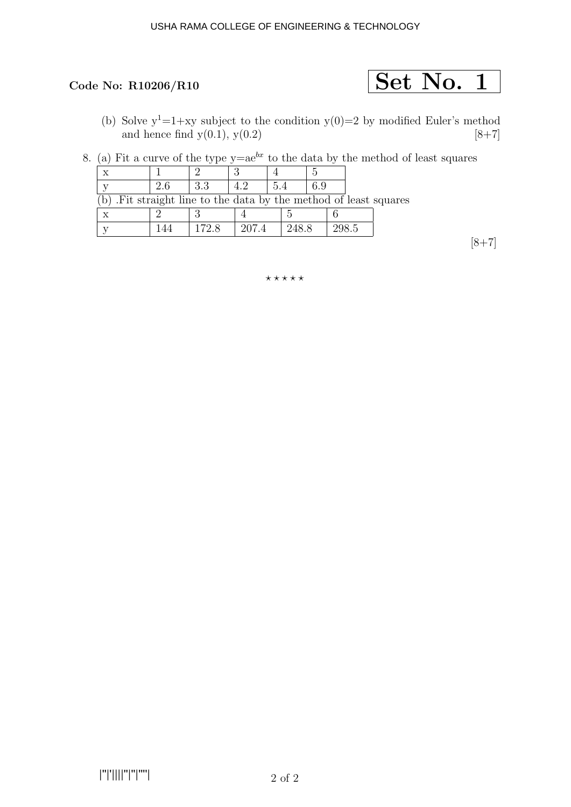# Code No: R10206/R10  $\boxed{\text{Set No. 1}}$

- (b) Solve  $y^1=1+xy$  subject to the condition  $y(0)=2$  by modified Euler's method and hence find  $y(0.1)$ ,  $y(0.2)$  [8+7]
- 8. (a) Fit a curve of the type  $y=ae^{bx}$  to the data by the method of least squares

| 2.6 | 3.3   |       | 5.4   | 6.9   |                                                                  |
|-----|-------|-------|-------|-------|------------------------------------------------------------------|
|     |       |       |       |       | (b) Fit straight line to the data by the method of least squares |
|     |       |       |       |       |                                                                  |
|     | 172.8 | 207.4 | 248.8 | 298.5 |                                                                  |

 $[8+7]$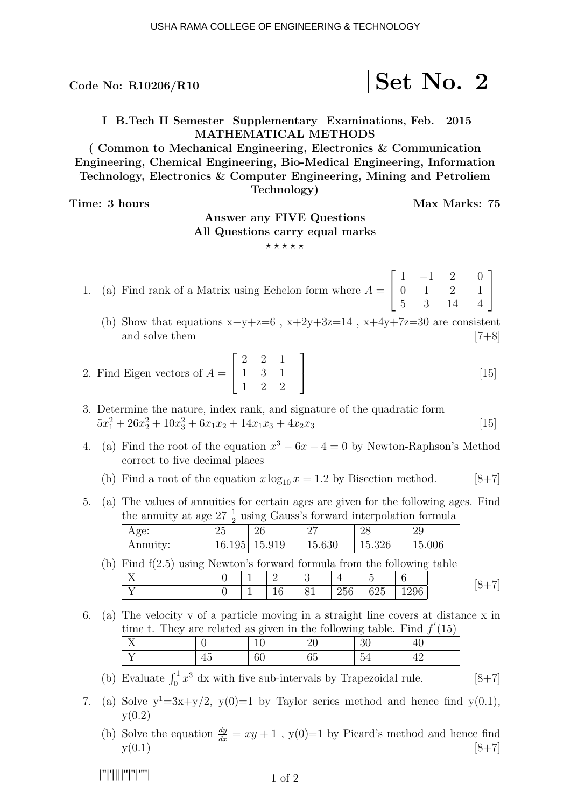Code No: R10206/R10  $\vert$  Set No.

$$
\mathbf{D}\mathbf{E}\mathbf{U} \mathbf{1}\mathbf{V}\mathbf{U} \mathbf{1} \mathbf{Z}
$$

I B.Tech II Semester Supplementary Examinations, Feb. 2015 MATHEMATICAL METHODS

( Common to Mechanical Engineering, Electronics & Communication Engineering, Chemical Engineering, Bio-Medical Engineering, Information Technology, Electronics & Computer Engineering, Mining and Petroliem Technology)

Time: 3 hours and the set of the Max Marks: 75

## Answer any FIVE Questions All Questions carry equal marks

 $***$ \*\*

| 1. (a) Find rank of a Matrix using Echelon form where $A = \begin{bmatrix} 1 & -1 & 2 & 0 \\ 0 & 1 & 2 & 1 \\ 5 & 3 & 14 & 4 \end{bmatrix}$ |  |  |  |
|---------------------------------------------------------------------------------------------------------------------------------------------|--|--|--|
|                                                                                                                                             |  |  |  |

- (b) Show that equations  $x+y+z=6$ ,  $x+2y+3z=14$ ,  $x+4y+7z=30$  are consistent and solve them  $[7+8]$
- 2. Find Eigen vectors of  $A =$  $\sqrt{ }$  $\overline{\phantom{a}}$ 2 2 1 1 3 1 1 2 2 1 [15]
- 3. Determine the nature, index rank, and signature of the quadratic form  $5x_1^2 + 26x_2^2 + 10x_3^2 + 6x_1x_2 + 14x_1x_3 + 4x_2x_3$  [15]
- 4. (a) Find the root of the equation  $x^3 6x + 4 = 0$  by Newton-Raphson's Method correct to five decimal places
	- (b) Find a root of the equation  $x \log_{10} x = 1.2$  by Bisection method. [8+7]
- 5. (a) The values of annuities for certain ages are given for the following ages. Find the annuity at age  $27\frac{1}{2}$  using Gauss's forward interpolation formula

| Age:                                                                      | 25            | 26 |   | 27     |     | 28     | 29     |         |
|---------------------------------------------------------------------------|---------------|----|---|--------|-----|--------|--------|---------|
| Annuity:                                                                  | 16.195 15.919 |    |   | 15.630 |     | 15.326 | 15.006 |         |
| (b) Find $f(2.5)$ using Newton's forward formula from the following table |               |    |   |        |     |        |        |         |
|                                                                           |               |    | റ | 2      |     |        |        | $[8+7]$ |
|                                                                           |               |    |   |        | 256 | 625    | T296.  |         |

6. (a) The velocity v of a particle moving in a straight line covers at distance x in time t. They are related as given in the following table. Find  $f'(15)$ 

| $\frac{1}{2}$ . The state $\frac{1}{2}$ and $\frac{1}{2}$ and $\frac{1}{2}$ are $\frac{1}{2}$ . The state $\frac{1}{2}$ and $\frac{1}{2}$ and $\frac{1}{2}$ and $\frac{1}{2}$ and $\frac{1}{2}$ and $\frac{1}{2}$ and $\frac{1}{2}$ and $\frac{1}{2}$ and $\frac{1}{2}$ and $\frac{1}{2}$ |  |  | $-$ |
|-------------------------------------------------------------------------------------------------------------------------------------------------------------------------------------------------------------------------------------------------------------------------------------------|--|--|-----|
|                                                                                                                                                                                                                                                                                           |  |  |     |
|                                                                                                                                                                                                                                                                                           |  |  |     |

- (b) Evaluate  $\int_0^1 x^3 dx$  with five sub-intervals by Trapezoidal rule. [8+7]
- 7. (a) Solve  $y^1=3x+y/2$ ,  $y(0)=1$  by Taylor series method and hence find  $y(0.1)$ ,  $y(0.2)$ 
	- (b) Solve the equation  $\frac{dy}{dx} = xy + 1$ , y(0)=1 by Picard's method and hence find  $y(0.1)$  [8+7]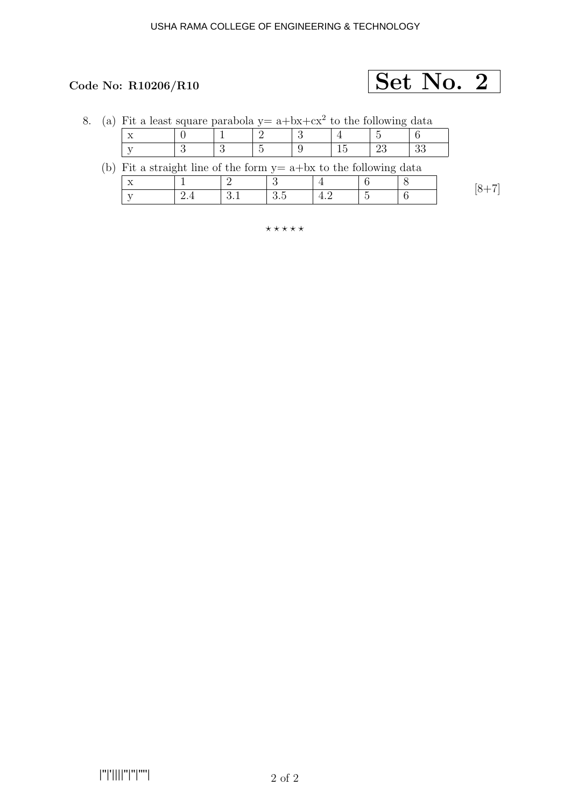## Code No: R10206/R10  $\overline{\text{Set No. 2}}$

| 8.                                                                     |  | (a) Fit a least square parabola $y = a + bx + cx^2$ to the following data |  |  |  |  |  |    |  |  |  |
|------------------------------------------------------------------------|--|---------------------------------------------------------------------------|--|--|--|--|--|----|--|--|--|
|                                                                        |  |                                                                           |  |  |  |  |  |    |  |  |  |
|                                                                        |  |                                                                           |  |  |  |  |  | 23 |  |  |  |
| (b) Fit a straight line of the form $y = a + bx$ to the following data |  |                                                                           |  |  |  |  |  |    |  |  |  |
|                                                                        |  |                                                                           |  |  |  |  |  |    |  |  |  |
|                                                                        |  |                                                                           |  |  |  |  |  |    |  |  |  |

 $[8+7]$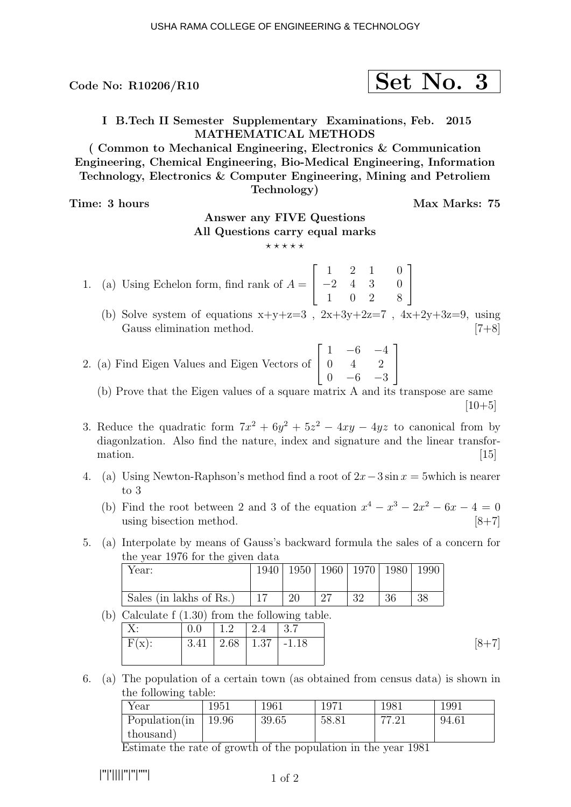Code No:  $R10206/R10$ 

$$
\fbox{Set No. 3}
$$

1

 $\overline{1}$ 

I B.Tech II Semester Supplementary Examinations, Feb. 2015 MATHEMATICAL METHODS

( Common to Mechanical Engineering, Electronics & Communication Engineering, Chemical Engineering, Bio-Medical Engineering, Information Technology, Electronics & Computer Engineering, Mining and Petroliem Technology)

Time: 3 hours Max Marks: 75

## Answer any FIVE Questions All Questions carry equal marks

 $***$ \*\*

- 1. (a) Using Echelon form, find rank of  $A =$  $\sqrt{ }$  $\overline{1}$ 1 2 1 −2 4 3 1 0 2 0 0 8
	- (b) Solve system of equations  $x+y+z=3$ ,  $2x+3y+2z=7$ ,  $4x+2y+3z=9$ , using Gauss elimination method. [7+8] Gauss elimination method.

2. (a) Find Eigen Values and Eigen Vectors of 
$$
\begin{bmatrix} 1 & -6 & -4 \ 0 & 4 & 2 \ 0 & -6 & -3 \end{bmatrix}
$$

(b) Prove that the Eigen values of a square matrix A and its transpose are same  $[10+5]$ 

- 3. Reduce the quadratic form  $7x^2 + 6y^2 + 5z^2 4xy 4yz$  to canonical from by diagonlzation. Also find the nature, index and signature and the linear transformation.  $[15]$
- 4. (a) Using Newton-Raphson's method find a root of  $2x-3\sin x = 5$  which is nearer to 3
	- (b) Find the root between 2 and 3 of the equation  $x^4 x^3 2x^2 6x 4 = 0$ using bisection method.  $[8+7]$
- 5. (a) Interpolate by means of Gauss's backward formula the sales of a concern for the year 1976 for the given data

| Year:                   |    |    |    | 1940   1950   1960   1970   1980   1990 |    |
|-------------------------|----|----|----|-----------------------------------------|----|
| Sales (in lakhs of Rs.) | 20 | 27 | 32 | -36                                     | 38 |

(b) Calculate f (1.30) from the following table.

|          | $\vert 0.0 \vert 1.2 \vert 2.4 \vert 3.7$ |  |         |
|----------|-------------------------------------------|--|---------|
| $F(x)$ : | $ 3.41 2.68 1.37 $ -1.18                  |  | $[8+7]$ |
|          |                                           |  |         |

6. (a) The population of a certain town (as obtained from census data) is shown in the following table:

| Year          | 1951  | 1961          | 1971  | 1981         | 1991  |
|---------------|-------|---------------|-------|--------------|-------|
| Population(in | 19.96 | 39.65         | 58.81 | 77.01<br>.41 | 94.61 |
| thousand)     |       | $\sim$ $\sim$ |       |              |       |

Estimate the rate of growth of the population in the year 1981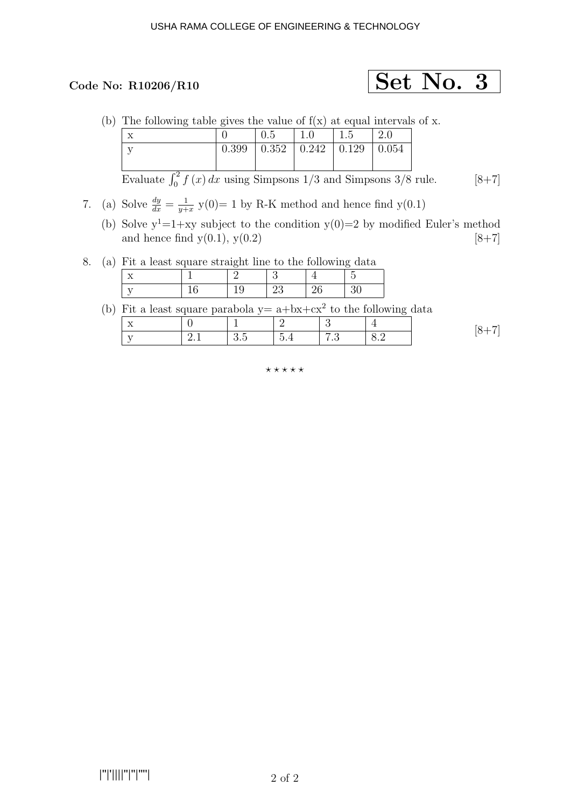## Code No: R10206/R10  $\quad \overline{\text{Set No. 3}}$

(b) The following table gives the value of  $f(x)$  at equal intervals of x.

| $\mathbf{v}$ |       |                             | $\overline{\phantom{0}}$<br>G.I | $\Omega$ |
|--------------|-------|-----------------------------|---------------------------------|----------|
| <b>TI</b>    | 0.399 | $0.352 \pm 0.242 \pm 0.129$ |                                 | 0.054    |
|              |       |                             |                                 |          |

Evaluate  $\int_0^2 f(x) dx$  using Simpsons 1/3 and Simpsons 3/8 rule. [8+7]

- 7. (a) Solve  $\frac{dy}{dx} = \frac{1}{y+1}$  $\frac{1}{y+x}$  y(0)= 1 by R-K method and hence find y(0.1)
	- (b) Solve  $y^1=1+xy$  subject to the condition  $y(0)=2$  by modified Euler's method and hence find  $y(0.1)$ ,  $y(0.2)$  [8+7]

8. (a) Fit a least square straight line to the following data

(b) Fit a least square parabola  $y = a + bx + cx^2$  to the following data

| $ -$<br>. . |        |   |           |  |
|-------------|--------|---|-----------|--|
|             | $\sim$ | - | $\cdot$ . |  |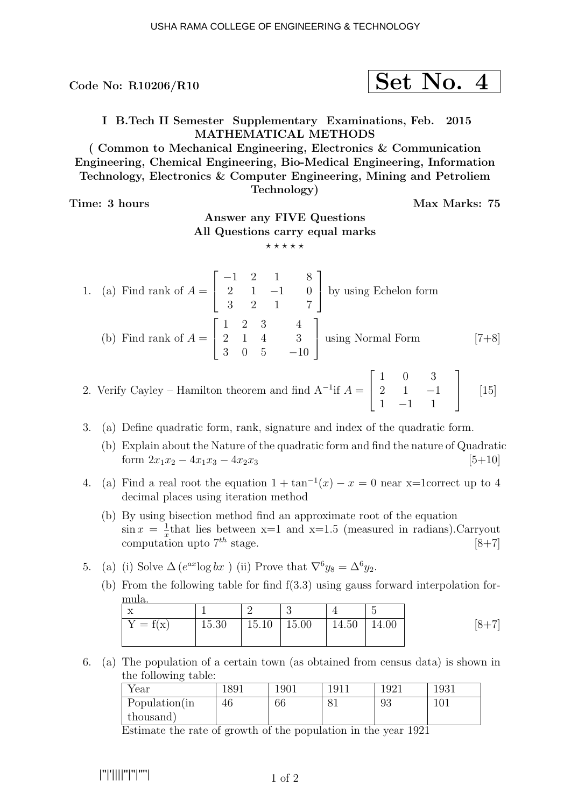Code No:  $R10206/R10$ 

$$
\fbox{Set No. 4}
$$

I B.Tech II Semester Supplementary Examinations, Feb. 2015 MATHEMATICAL METHODS

( Common to Mechanical Engineering, Electronics & Communication Engineering, Chemical Engineering, Bio-Medical Engineering, Information Technology, Electronics & Computer Engineering, Mining and Petroliem Technology)

Time: 3 hours Max Marks: 75

## Answer any FIVE Questions All Questions carry equal marks

 $***$ \*\*

1. (a) Find rank of  $A =$  $\sqrt{ }$  $\overline{\phantom{a}}$  $-1$  2 1  $2 \t 1 \t -1$ 3 2 1 8  $\theta$ 7 1 by using Echelon form (b) Find rank of  $A =$  $\sqrt{ }$  $\overline{\phantom{a}}$ 1 2 3 2 1 4 3 0 5 4 3  $-10$ 1 | using Normal Form [7+8]

### 2. Verify Cayley – Hamilton theorem and find  $A^{-1}$  if  $A =$  $\sqrt{ }$  $\overline{\phantom{a}}$ 1 0 3  $2 \t 1 \t -1$  $1 -1 1$ 1 [15]

- 3. (a) Define quadratic form, rank, signature and index of the quadratic form.
	- (b) Explain about the Nature of the quadratic form and find the nature of Quadratic form  $2x_1x_2 - 4x_1x_3 - 4x_2x_3$  [5+10]
- 4. (a) Find a real root the equation  $1 + \tan^{-1}(x) x = 0$  near x=1correct up to 4 decimal places using iteration method
	- (b) By using bisection method find an approximate root of the equation  $\sin x = \frac{1}{x}$  $\frac{1}{x}$ that lies between x=1 and x=1.5 (measured in radians).Carryout computation upto  $7^{th}$  stage.  $[8+7]$
- 5. (a) (i) Solve  $\Delta(e^{ax} \log bx)$  (ii) Prove that  $\nabla^6 y_8 = \Delta^6 y_2$ .
	- (b) From the following table for find f(3.3) using gauss forward interpolation formula.

| $\Lambda$  |                                       |  |  |         |
|------------|---------------------------------------|--|--|---------|
| $Y = f(x)$ | 15.30   15.10   15.00   14.50   14.00 |  |  | $[8+7]$ |
|            |                                       |  |  |         |

6. (a) The population of a certain town (as obtained from census data) is shown in the following table:

| rear           | 1891 | 1901 | 1911 | 1921 | 1931 |
|----------------|------|------|------|------|------|
| Population (in | 46   | 66   |      | 93   | 101  |
| thousand)      |      |      |      |      |      |

Estimate the rate of growth of the population in the year 1921